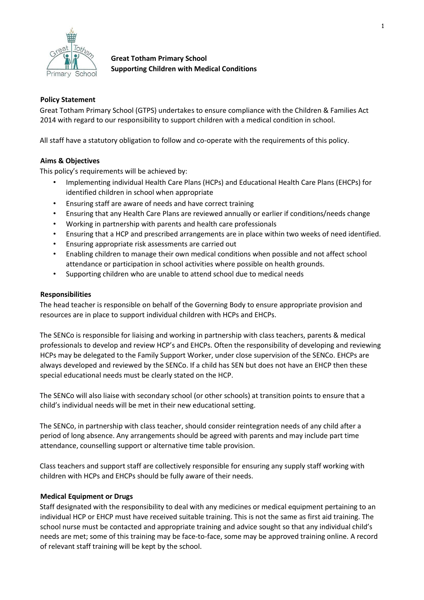

**Great Totham Primary School Supporting Children with Medical Conditions** 

## **Policy Statement**

Great Totham Primary School (GTPS) undertakes to ensure compliance with the Children & Families Act 2014 with regard to our responsibility to support children with a medical condition in school.

All staff have a statutory obligation to follow and co-operate with the requirements of this policy.

## **Aims & Objectives**

This policy's requirements will be achieved by:

- Implementing individual Health Care Plans (HCPs) and Educational Health Care Plans (EHCPs) for identified children in school when appropriate
- Ensuring staff are aware of needs and have correct training
- Ensuring that any Health Care Plans are reviewed annually or earlier if conditions/needs change
- Working in partnership with parents and health care professionals
- Ensuring that a HCP and prescribed arrangements are in place within two weeks of need identified.
- Ensuring appropriate risk assessments are carried out
- Enabling children to manage their own medical conditions when possible and not affect school attendance or participation in school activities where possible on health grounds.
- Supporting children who are unable to attend school due to medical needs

### **Responsibilities**

The head teacher is responsible on behalf of the Governing Body to ensure appropriate provision and resources are in place to support individual children with HCPs and EHCPs.

The SENCo is responsible for liaising and working in partnership with class teachers, parents & medical professionals to develop and review HCP's and EHCPs. Often the responsibility of developing and reviewing HCPs may be delegated to the Family Support Worker, under close supervision of the SENCo. EHCPs are always developed and reviewed by the SENCo. If a child has SEN but does not have an EHCP then these special educational needs must be clearly stated on the HCP.

The SENCo will also liaise with secondary school (or other schools) at transition points to ensure that a child's individual needs will be met in their new educational setting.

The SENCo, in partnership with class teacher, should consider reintegration needs of any child after a period of long absence. Any arrangements should be agreed with parents and may include part time attendance, counselling support or alternative time table provision.

Class teachers and support staff are collectively responsible for ensuring any supply staff working with children with HCPs and EHCPs should be fully aware of their needs.

### **Medical Equipment or Drugs**

Staff designated with the responsibility to deal with any medicines or medical equipment pertaining to an individual HCP or EHCP must have received suitable training. This is not the same as first aid training. The school nurse must be contacted and appropriate training and advice sought so that any individual child's needs are met; some of this training may be face-to-face, some may be approved training online. A record of relevant staff training will be kept by the school.